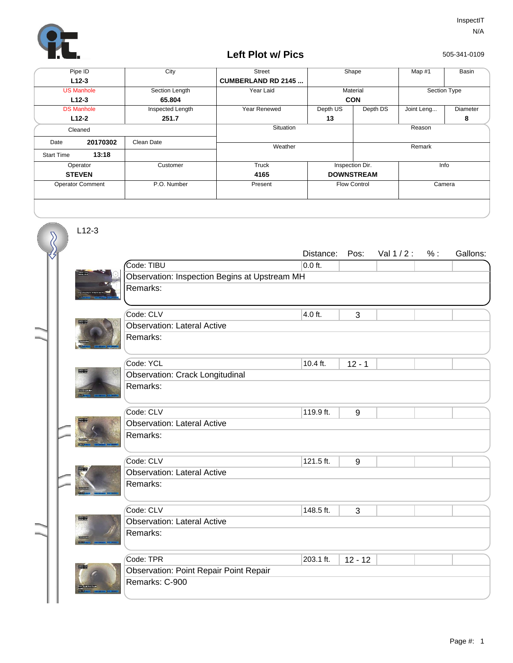

## **Left Plot w/ Pics**

505-341-0109

| Pipe ID                    |          | City             | <b>Street</b>             | Shape               |          | Map $#1$     | Basin    |  |
|----------------------------|----------|------------------|---------------------------|---------------------|----------|--------------|----------|--|
| $L12-3$                    |          |                  | <b>CUMBERLAND RD 2145</b> |                     |          |              |          |  |
| <b>US Manhole</b>          |          | Section Length   | Year Laid                 | Material            |          | Section Type |          |  |
| $L12-3$                    |          | 65.804           |                           | <b>CON</b>          |          |              |          |  |
| <b>DS Manhole</b>          |          | Inspected Length | Year Renewed              | Depth US            | Depth DS | Joint Leng   | Diameter |  |
| $L12-2$                    |          | 251.7            |                           | 13                  |          |              | 8        |  |
| Cleaned                    |          |                  | Situation                 |                     | Reason   |              |          |  |
| Date                       | 20170302 | Clean Date       | Weather                   |                     |          |              |          |  |
| 13:18<br><b>Start Time</b> |          |                  |                           |                     | Remark   |              |          |  |
|                            |          |                  |                           |                     |          |              |          |  |
|                            | Operator | Customer         | Truck                     | Inspection Dir.     |          | Info         |          |  |
| <b>STEVEN</b>              |          |                  | 4165                      | <b>DOWNSTREAM</b>   |          |              |          |  |
| <b>Operator Comment</b>    |          | P.O. Number      | Present                   | <b>Flow Control</b> |          | Camera       |          |  |
|                            |          |                  |                           |                     |          |              |          |  |

L12-3

 $\overline{\mathcal{S}}$ 

|  |              |                                               | Distance: | Pos:      | Val $1/2$ : | % : | Gallons: |  |  |  |  |
|--|--------------|-----------------------------------------------|-----------|-----------|-------------|-----|----------|--|--|--|--|
|  |              | Code: TIBU                                    | $0.0$ ft. |           |             |     |          |  |  |  |  |
|  |              | Observation: Inspection Begins at Upstream MH |           |           |             |     |          |  |  |  |  |
|  |              | Remarks:                                      |           |           |             |     |          |  |  |  |  |
|  |              |                                               |           |           |             |     |          |  |  |  |  |
|  |              | Code: CLV                                     | 4.0 ft.   | 3         |             |     |          |  |  |  |  |
|  | <b>TOTAL</b> | <b>Observation: Lateral Active</b>            |           |           |             |     |          |  |  |  |  |
|  |              | Remarks:                                      |           |           |             |     |          |  |  |  |  |
|  |              | Code: YCL                                     | 10.4 ft.  | $12 - 1$  |             |     |          |  |  |  |  |
|  | <b>TOWN</b>  | <b>Observation: Crack Longitudinal</b>        |           |           |             |     |          |  |  |  |  |
|  |              | Remarks:                                      |           |           |             |     |          |  |  |  |  |
|  |              |                                               |           |           |             |     |          |  |  |  |  |
|  |              | Code: CLV                                     | 119.9 ft. | 9         |             |     |          |  |  |  |  |
|  |              | <b>Observation: Lateral Active</b>            |           |           |             |     |          |  |  |  |  |
|  |              | Remarks:                                      |           |           |             |     |          |  |  |  |  |
|  |              |                                               |           |           |             |     |          |  |  |  |  |
|  |              | Code: CLV                                     | 121.5 ft. | 9         |             |     |          |  |  |  |  |
|  |              | <b>Observation: Lateral Active</b>            |           |           |             |     |          |  |  |  |  |
|  |              | Remarks:                                      |           |           |             |     |          |  |  |  |  |
|  |              |                                               |           |           |             |     |          |  |  |  |  |
|  |              | Code: CLV                                     | 148.5 ft. | 3         |             |     |          |  |  |  |  |
|  | <b>TOTAL</b> | <b>Observation: Lateral Active</b>            |           |           |             |     |          |  |  |  |  |
|  |              | Remarks:                                      |           |           |             |     |          |  |  |  |  |
|  |              |                                               |           |           |             |     |          |  |  |  |  |
|  |              | Code: TPR                                     | 203.1 ft. | $12 - 12$ |             |     |          |  |  |  |  |
|  |              | <b>Observation: Point Repair Point Repair</b> |           |           |             |     |          |  |  |  |  |
|  |              | Remarks: C-900                                |           |           |             |     |          |  |  |  |  |
|  |              |                                               |           |           |             |     |          |  |  |  |  |
|  |              |                                               |           |           |             |     |          |  |  |  |  |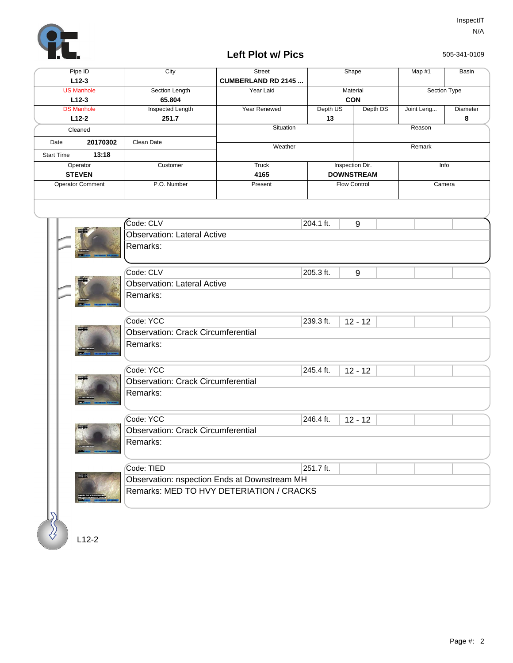

## **Left Plot w/ Pics**

505-341-0109

| Pipe ID                      |          | City             | <b>Street</b>             | Shape               |          |  | Map #1       | Basin    |
|------------------------------|----------|------------------|---------------------------|---------------------|----------|--|--------------|----------|
| $L12-3$                      |          |                  | <b>CUMBERLAND RD 2145</b> |                     |          |  |              |          |
| <b>US Manhole</b>            |          | Section Length   | Year Laid                 | Material            |          |  | Section Type |          |
| $L12-3$                      |          | 65.804           |                           | <b>CON</b>          |          |  |              |          |
| <b>DS Manhole</b>            |          | Inspected Length | Year Renewed              | Depth US            | Depth DS |  | Joint Leng   | Diameter |
|                              | $L12-2$  | 251.7            |                           | 13                  |          |  |              | 8        |
| Cleaned                      |          |                  | Situation                 |                     |          |  | Reason       |          |
| Date                         | 20170302 | Clean Date       | Weather                   |                     |          |  | Remark       |          |
| <b>Start Time</b>            | 13:18    |                  |                           |                     |          |  |              |          |
|                              | Operator | Customer         | Truck                     | Inspection Dir.     |          |  | Info         |          |
| <b>STEVEN</b>                |          |                  | 4165                      | <b>DOWNSTREAM</b>   |          |  |              |          |
| <b>Operator Comment</b>      |          | P.O. Number      | Present                   | <b>Flow Control</b> |          |  | Camera       |          |
|                              |          |                  |                           |                     |          |  |              |          |
| Code: CLV<br><b>ATTENDED</b> |          |                  |                           | 204.1 ft.           | 9        |  |              |          |

|  |                                    | Code: CLV                                                                                | 204.1 ft.                                 | $9\,$     |  |  |  |  |  |  |
|--|------------------------------------|------------------------------------------------------------------------------------------|-------------------------------------------|-----------|--|--|--|--|--|--|
|  | <b>Observation: Lateral Active</b> |                                                                                          |                                           |           |  |  |  |  |  |  |
|  |                                    | Remarks:                                                                                 |                                           |           |  |  |  |  |  |  |
|  |                                    |                                                                                          |                                           |           |  |  |  |  |  |  |
|  |                                    | Code: CLV                                                                                | 205.3 ft.                                 | 9         |  |  |  |  |  |  |
|  |                                    | <b>Observation: Lateral Active</b>                                                       |                                           |           |  |  |  |  |  |  |
|  |                                    | Remarks:                                                                                 |                                           |           |  |  |  |  |  |  |
|  |                                    |                                                                                          |                                           |           |  |  |  |  |  |  |
|  |                                    |                                                                                          |                                           |           |  |  |  |  |  |  |
|  |                                    | Code: YCC                                                                                | 239.3 ft.                                 | $12 - 12$ |  |  |  |  |  |  |
|  |                                    |                                                                                          | <b>Observation: Crack Circumferential</b> |           |  |  |  |  |  |  |
|  |                                    | Remarks:                                                                                 |                                           |           |  |  |  |  |  |  |
|  |                                    |                                                                                          |                                           |           |  |  |  |  |  |  |
|  |                                    | Code: YCC                                                                                | 245.4 ft.                                 | $12 - 12$ |  |  |  |  |  |  |
|  |                                    | <b>Observation: Crack Circumferential</b>                                                |                                           |           |  |  |  |  |  |  |
|  |                                    | Remarks:                                                                                 |                                           |           |  |  |  |  |  |  |
|  |                                    |                                                                                          |                                           |           |  |  |  |  |  |  |
|  |                                    | Code: YCC                                                                                | 246.4 ft.                                 | $12 - 12$ |  |  |  |  |  |  |
|  | 圖圖                                 | <b>Observation: Crack Circumferential</b>                                                |                                           |           |  |  |  |  |  |  |
|  |                                    | Remarks:                                                                                 |                                           |           |  |  |  |  |  |  |
|  |                                    |                                                                                          |                                           |           |  |  |  |  |  |  |
|  |                                    | Code: TIED                                                                               | 251.7 ft.                                 |           |  |  |  |  |  |  |
|  | UNIVALES<br>Distribution           |                                                                                          |                                           |           |  |  |  |  |  |  |
|  |                                    | Observation: nspection Ends at Downstream MH<br>Remarks: MED TO HVY DETERIATION / CRACKS |                                           |           |  |  |  |  |  |  |
|  |                                    |                                                                                          |                                           |           |  |  |  |  |  |  |
|  |                                    |                                                                                          |                                           |           |  |  |  |  |  |  |
|  |                                    |                                                                                          |                                           |           |  |  |  |  |  |  |
|  |                                    |                                                                                          |                                           |           |  |  |  |  |  |  |
|  | $L12-2$                            |                                                                                          |                                           |           |  |  |  |  |  |  |